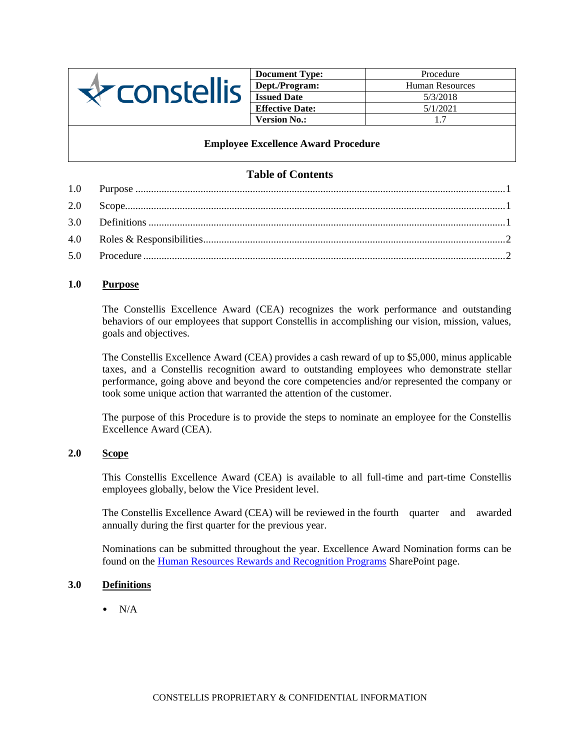

| <b>Document Type:</b>  | Procedure              |
|------------------------|------------------------|
| Dept./Program:         | <b>Human Resources</b> |
| <b>Issued Date</b>     | 5/3/2018               |
| <b>Effective Date:</b> | 5/1/2021               |
| <b>Version No.:</b>    | 17                     |

### **Employee Excellence Award Procedure**

# **Table of Contents**

# <span id="page-0-0"></span>**1.0 Purpose**

The Constellis Excellence Award (CEA) recognizes the work performance and outstanding behaviors of our employees that support Constellis in accomplishing our vision, mission, values, goals and objectives.

The Constellis Excellence Award (CEA) provides a cash reward of up to \$5,000, minus applicable taxes, and a Constellis recognition award to outstanding employees who demonstrate stellar performance, going above and beyond the core competencies and/or represented the company or took some unique action that warranted the attention of the customer.

The purpose of this Procedure is to provide the steps to nominate an employee for the Constellis Excellence Award (CEA).

# <span id="page-0-1"></span>**2.0 Scope**

This Constellis Excellence Award (CEA) is available to all full-time and part-time Constellis employees globally, below the Vice President level.

The Constellis Excellence Award (CEA) will be reviewed in the fourth quarter and awarded annually during the first quarter for the previous year.

Nominations can be submitted throughout the year. Excellence Award Nomination forms can be found on the [Human Resources Rewards and Recognition Programs](https://triplecanopy.sharepoint.com/Pages/Rewards-and-Recognition-Programs.aspx) SharePoint page.

### **3.0 Definitions**

<span id="page-0-2"></span> $N/A$